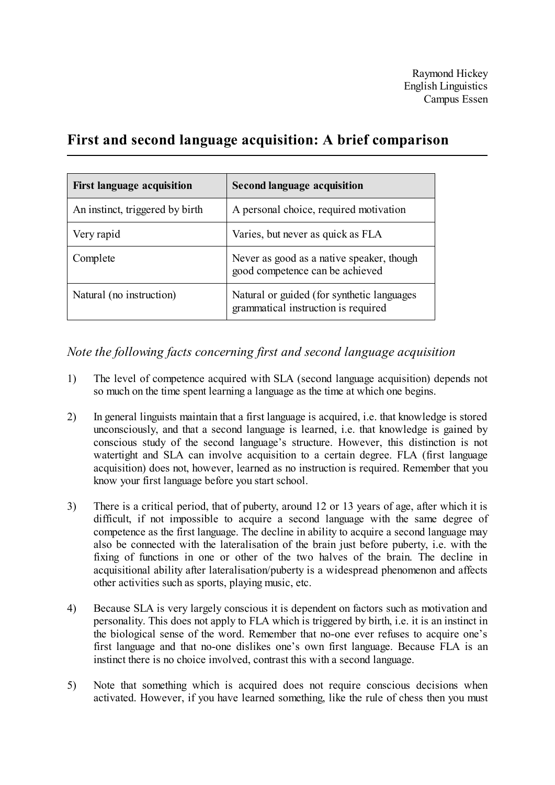Raymond Hickey English Linguistics Campus Essen

## **First and second language acquisition: A brief comparison**

| <b>First language acquisition</b> | <b>Second language acquisition</b>                                                |
|-----------------------------------|-----------------------------------------------------------------------------------|
| An instinct, triggered by birth   | A personal choice, required motivation                                            |
| Very rapid                        | Varies, but never as quick as FLA                                                 |
| Complete                          | Never as good as a native speaker, though<br>good competence can be achieved      |
| Natural (no instruction)          | Natural or guided (for synthetic languages<br>grammatical instruction is required |

*Note the following facts concerning first and second language acquisition*

- 1) The level of competence acquired with SLA (second language acquisition) depends not so much on the time spent learning a language as the time at which one begins.
- 2) In general linguists maintain that a first language is acquired, i.e. that knowledge is stored unconsciously, and that a second language is learned, i.e. that knowledge is gained by conscious study of the second language's structure. However, this distinction is not watertight and SLA can involve acquisition to a certain degree. FLA (first language acquisition) does not, however, learned as no instruction is required. Remember that you know your first language before you start school.
- 3) There is a critical period, that of puberty, around 12 or 13 years of age, after which it is difficult, if not impossible to acquire a second language with the same degree of competence as the first language. The decline in ability to acquire a second language may also be connected with the lateralisation of the brain just before puberty, i.e. with the fixing of functions in one or other of the two halves of the brain. The decline in acquisitional ability after lateralisation/puberty is a widespread phenomenon and affects other activities such as sports, playing music, etc.
- 4) Because SLA is very largely conscious it is dependent on factors such as motivation and personality. This does not apply to FLA which is triggered by birth, i.e. it is an instinct in the biological sense of the word. Remember that no-one ever refuses to acquire one's first language and that no-one dislikes one's own first language. Because FLA is an instinct there is no choice involved, contrast this with a second language.
- 5) Note that something which is acquired does not require conscious decisions when activated. However, if you have learned something, like the rule of chess then you must